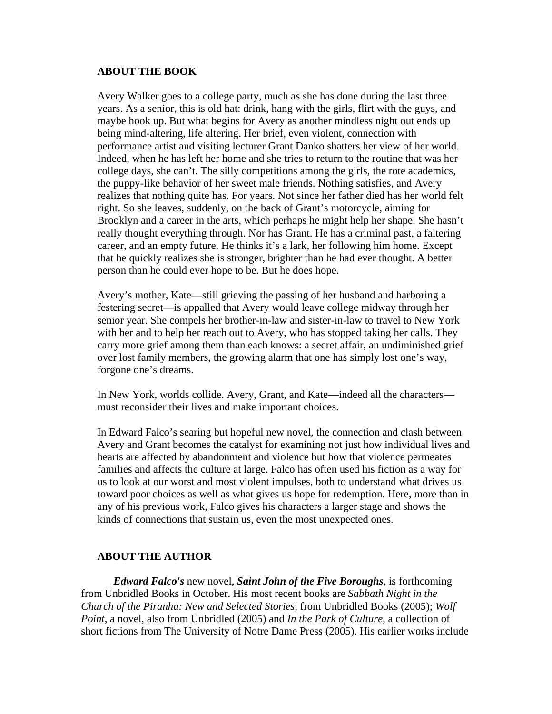#### **ABOUT THE BOOK**

Avery Walker goes to a college party, much as she has done during the last three years. As a senior, this is old hat: drink, hang with the girls, flirt with the guys, and maybe hook up. But what begins for Avery as another mindless night out ends up being mind-altering, life altering. Her brief, even violent, connection with performance artist and visiting lecturer Grant Danko shatters her view of her world. Indeed, when he has left her home and she tries to return to the routine that was her college days, she can't. The silly competitions among the girls, the rote academics, the puppy-like behavior of her sweet male friends. Nothing satisfies, and Avery realizes that nothing quite has. For years. Not since her father died has her world felt right. So she leaves, suddenly, on the back of Grant's motorcycle, aiming for Brooklyn and a career in the arts, which perhaps he might help her shape. She hasn't really thought everything through. Nor has Grant. He has a criminal past, a faltering career, and an empty future. He thinks it's a lark, her following him home. Except that he quickly realizes she is stronger, brighter than he had ever thought. A better person than he could ever hope to be. But he does hope.

Avery's mother, Kate—still grieving the passing of her husband and harboring a festering secret—is appalled that Avery would leave college midway through her senior year. She compels her brother-in-law and sister-in-law to travel to New York with her and to help her reach out to Avery, who has stopped taking her calls. They carry more grief among them than each knows: a secret affair, an undiminished grief over lost family members, the growing alarm that one has simply lost one's way, forgone one's dreams.

In New York, worlds collide. Avery, Grant, and Kate—indeed all the characters must reconsider their lives and make important choices.

In Edward Falco's searing but hopeful new novel, the connection and clash between Avery and Grant becomes the catalyst for examining not just how individual lives and hearts are affected by abandonment and violence but how that violence permeates families and affects the culture at large. Falco has often used his fiction as a way for us to look at our worst and most violent impulses, both to understand what drives us toward poor choices as well as what gives us hope for redemption. Here, more than in any of his previous work, Falco gives his characters a larger stage and shows the kinds of connections that sustain us, even the most unexpected ones.

## **ABOUT THE AUTHOR**

*Edward Falco's* new novel, *Saint John of the Five Boroughs*, is forthcoming from Unbridled Books in October. His most recent books are *Sabbath Night in the Church of the Piranha: New and Selected Stories*, from Unbridled Books (2005); *Wolf Point*, a novel, also from Unbridled (2005) and *In the Park of Culture*, a collection of short fictions from The University of Notre Dame Press (2005). His earlier works include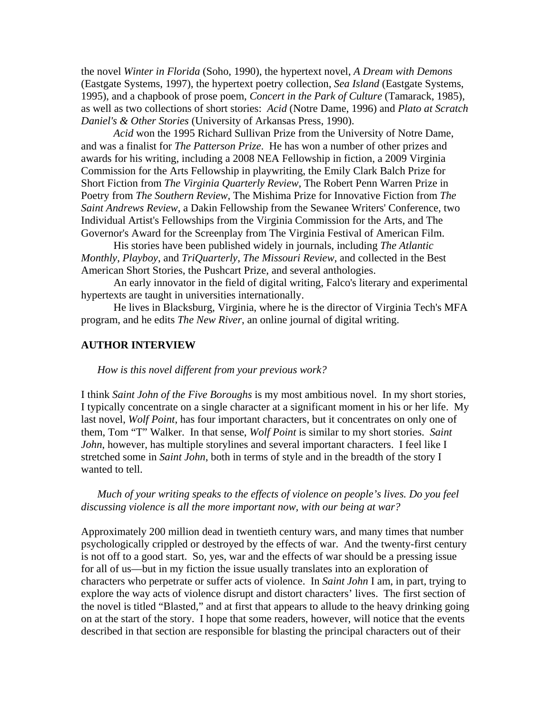the novel *Winter in Florida* (Soho, 1990), the hypertext novel, *A Dream with Demons* (Eastgate Systems, 1997), the hypertext poetry collection, *Sea Island* (Eastgate Systems, 1995), and a chapbook of prose poem, *Concert in the Park of Culture* (Tamarack, 1985), as well as two collections of short stories: *Acid* (Notre Dame, 1996) and *Plato at Scratch Daniel's & Other Stories* (University of Arkansas Press, 1990).

*Acid* won the 1995 Richard Sullivan Prize from the University of Notre Dame, and was a finalist for *The Patterson Prize*. He has won a number of other prizes and awards for his writing, including a 2008 NEA Fellowship in fiction, a 2009 Virginia Commission for the Arts Fellowship in playwriting, the Emily Clark Balch Prize for Short Fiction from *The Virginia Quarterly Review*, The Robert Penn Warren Prize in Poetry from *The Southern Review*, The Mishima Prize for Innovative Fiction from *The Saint Andrews Review*, a Dakin Fellowship from the Sewanee Writers' Conference, two Individual Artist's Fellowships from the Virginia Commission for the Arts, and The Governor's Award for the Screenplay from The Virginia Festival of American Film.

His stories have been published widely in journals, including *The Atlantic Monthly*, *Playboy*, and *TriQuarterly*, *The Missouri Review*, and collected in the Best American Short Stories, the Pushcart Prize, and several anthologies.

An early innovator in the field of digital writing, Falco's literary and experimental hypertexts are taught in universities internationally.

He lives in Blacksburg, Virginia, where he is the director of Virginia Tech's MFA program, and he edits *The New River*, an online journal of digital writing.

#### **AUTHOR INTERVIEW**

*How is this novel different from your previous work?* 

I think *Saint John of the Five Boroughs* is my most ambitious novel. In my short stories, I typically concentrate on a single character at a significant moment in his or her life. My last novel, *Wolf Point*, has four important characters, but it concentrates on only one of them, Tom "T" Walker. In that sense, *Wolf Point* is similar to my short stories. *Saint John*, however, has multiple storylines and several important characters. I feel like I stretched some in *Saint John*, both in terms of style and in the breadth of the story I wanted to tell.

*Much of your writing speaks to the effects of violence on people's lives. Do you feel discussing violence is all the more important now, with our being at war?* 

Approximately 200 million dead in twentieth century wars, and many times that number psychologically crippled or destroyed by the effects of war. And the twenty-first century is not off to a good start. So, yes, war and the effects of war should be a pressing issue for all of us––but in my fiction the issue usually translates into an exploration of characters who perpetrate or suffer acts of violence. In *Saint John* I am, in part, trying to explore the way acts of violence disrupt and distort characters' lives. The first section of the novel is titled "Blasted," and at first that appears to allude to the heavy drinking going on at the start of the story. I hope that some readers, however, will notice that the events described in that section are responsible for blasting the principal characters out of their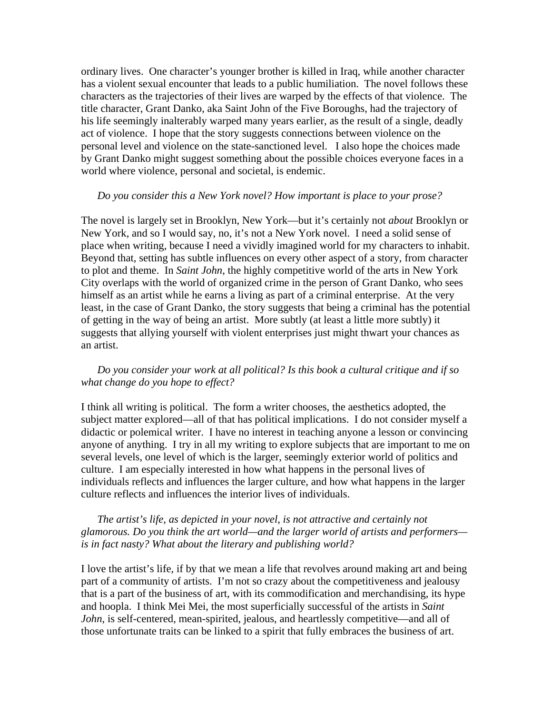ordinary lives. One character's younger brother is killed in Iraq, while another character has a violent sexual encounter that leads to a public humiliation. The novel follows these characters as the trajectories of their lives are warped by the effects of that violence. The title character, Grant Danko, aka Saint John of the Five Boroughs, had the trajectory of his life seemingly inalterably warped many years earlier, as the result of a single, deadly act of violence. I hope that the story suggests connections between violence on the personal level and violence on the state-sanctioned level. I also hope the choices made by Grant Danko might suggest something about the possible choices everyone faces in a world where violence, personal and societal, is endemic.

#### *Do you consider this a New York novel? How important is place to your prose?*

The novel is largely set in Brooklyn, New York––but it's certainly not *about* Brooklyn or New York, and so I would say, no, it's not a New York novel. I need a solid sense of place when writing, because I need a vividly imagined world for my characters to inhabit. Beyond that, setting has subtle influences on every other aspect of a story, from character to plot and theme. In *Saint John*, the highly competitive world of the arts in New York City overlaps with the world of organized crime in the person of Grant Danko, who sees himself as an artist while he earns a living as part of a criminal enterprise. At the very least, in the case of Grant Danko, the story suggests that being a criminal has the potential of getting in the way of being an artist. More subtly (at least a little more subtly) it suggests that allying yourself with violent enterprises just might thwart your chances as an artist.

## *Do you consider your work at all political? Is this book a cultural critique and if so what change do you hope to effect?*

I think all writing is political. The form a writer chooses, the aesthetics adopted, the subject matter explored––all of that has political implications. I do not consider myself a didactic or polemical writer. I have no interest in teaching anyone a lesson or convincing anyone of anything. I try in all my writing to explore subjects that are important to me on several levels, one level of which is the larger, seemingly exterior world of politics and culture. I am especially interested in how what happens in the personal lives of individuals reflects and influences the larger culture, and how what happens in the larger culture reflects and influences the interior lives of individuals.

### *The artist's life, as depicted in your novel, is not attractive and certainly not glamorous. Do you think the art world—and the larger world of artists and performers is in fact nasty? What about the literary and publishing world?*

I love the artist's life, if by that we mean a life that revolves around making art and being part of a community of artists. I'm not so crazy about the competitiveness and jealousy that is a part of the business of art, with its commodification and merchandising, its hype and hoopla. I think Mei Mei, the most superficially successful of the artists in *Saint John*, is self-centered, mean-spirited, jealous, and heartlessly competitive—and all of those unfortunate traits can be linked to a spirit that fully embraces the business of art.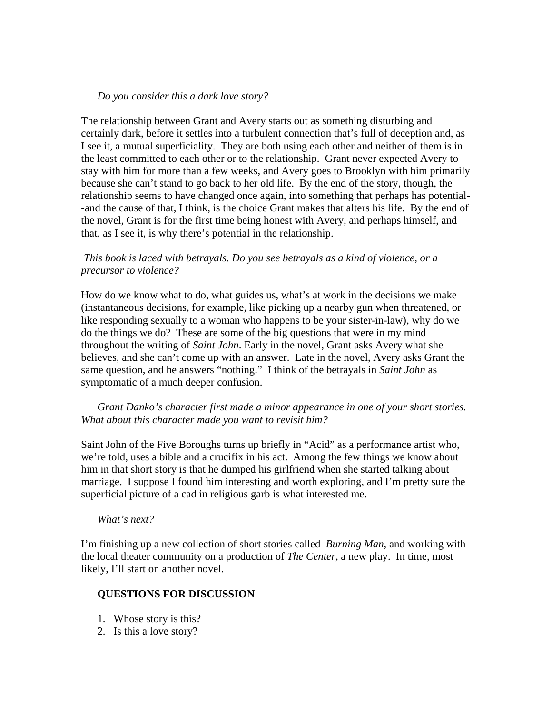## *Do you consider this a dark love story?*

The relationship between Grant and Avery starts out as something disturbing and certainly dark, before it settles into a turbulent connection that's full of deception and, as I see it, a mutual superficiality. They are both using each other and neither of them is in the least committed to each other or to the relationship. Grant never expected Avery to stay with him for more than a few weeks, and Avery goes to Brooklyn with him primarily because she can't stand to go back to her old life. By the end of the story, though, the relationship seems to have changed once again, into something that perhaps has potential- -and the cause of that, I think, is the choice Grant makes that alters his life. By the end of the novel, Grant is for the first time being honest with Avery, and perhaps himself, and that, as I see it, is why there's potential in the relationship.

#### *This book is laced with betrayals. Do you see betrayals as a kind of violence, or a precursor to violence?*

How do we know what to do, what guides us, what's at work in the decisions we make (instantaneous decisions, for example, like picking up a nearby gun when threatened, or like responding sexually to a woman who happens to be your sister-in-law), why do we do the things we do? These are some of the big questions that were in my mind throughout the writing of *Saint John*. Early in the novel, Grant asks Avery what she believes, and she can't come up with an answer. Late in the novel, Avery asks Grant the same question, and he answers "nothing." I think of the betrayals in *Saint John* as symptomatic of a much deeper confusion.

## *Grant Danko's character first made a minor appearance in one of your short stories. What about this character made you want to revisit him?*

Saint John of the Five Boroughs turns up briefly in "Acid" as a performance artist who, we're told, uses a bible and a crucifix in his act. Among the few things we know about him in that short story is that he dumped his girlfriend when she started talking about marriage. I suppose I found him interesting and worth exploring, and I'm pretty sure the superficial picture of a cad in religious garb is what interested me.

#### *What's next?*

I'm finishing up a new collection of short stories called *Burning Man*, and working with the local theater community on a production of *The Center*, a new play. In time, most likely, I'll start on another novel.

## **QUESTIONS FOR DISCUSSION**

- 1. Whose story is this?
- 2. Is this a love story?